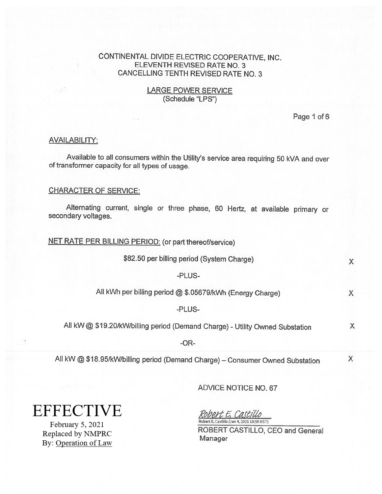## LARGE POWER SERVICE (Schedule "LPS")

Page 1 of 6

#### AVAILABILITY:

Available to all consumers within the Utility's service area requiring <sup>50</sup> kVA and over of transformer capacity for all types of usage.

#### CHARACTER OF SERVICE:

Alternating current, single or three <sup>p</sup>hase, <sup>60</sup> Hertz, at available primary or secondary voltages.

NET RATE PER BILLING PERIOD: (or part thereof/service)

\$82.50 per billing period (System Charge)  $\times$ 

-PLUS-

All kWh per billing period @ \$.05679/kWh (Energy Charge) X

-PLUS-

All kW @ \$19.20/kW/billing period (Demand Charge) - Utility Owned Substation <sup>X</sup>

-OR

All kW @ \$18.95/kW/billing period (Demand Charge) – Consumer Owned Substation X

ADVICE NOTICE NO. 67

**EFFECTIVE** 

17.

February 5, 2021 Replaced by NMPRC By: Operation of Law

Robert E, Castillo Robert E. Castillo (Jan 4, 2021 13:55 MST)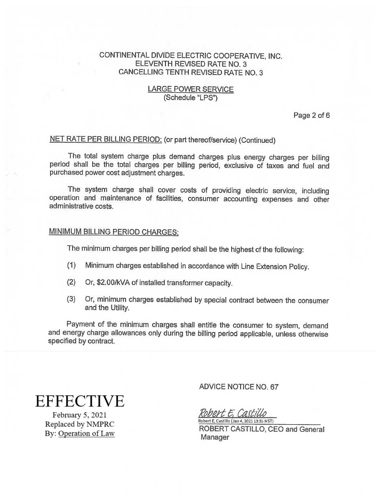# LARGE POWER SERVICE (Schedule "LPS")

Page 2 of 6

# NET RATE PER BILLING PERIOD: (or part thereof/service) (Continued)

The total system charge <sup>p</sup>lus demand charges <sup>p</sup>lus energy charges per billing period shall be the total charges per billing period, exclusive of taxes and fuel and purchased power cost adjustment charges.

The system charge shall covet costs of providing electric service, including operation and maintenance of facilities, consumer accounting expenses and other administrative costs.

# MINIMUM BILLING PERIOD CHARGES:

The minimum charges per billing period shall be the highest of the following:

- (1) Minimum charges established in accordance with Line Extension Policy.
- (2) Or, \$2.OO/kVA of installed transformer capacity.
- (3) Or, minimum charges established by special contract between the consumer and the Utility.

Payment of the minimum charges shall entitle the consumer to system, demand and energy charge allowances only during the billing period applicable, unless otherwise specified by contract.

**EFFECTIVE** 

February 5, 2021 Replaced by NMPRC By: Operation of Law ADVICE NOTICE NO.67

Robert E, Castillo Robert E. Castillo (Jan 4, 2021 13:55 MST)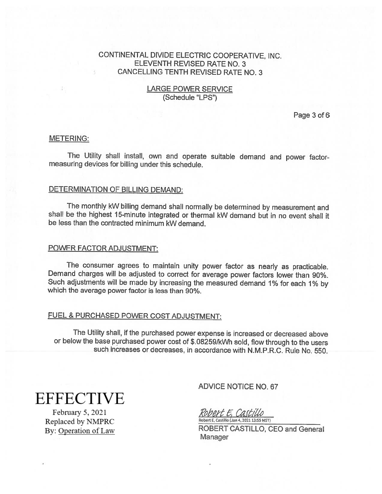## LARGE POWER SERVICE (Schedule "LPS")

Page 3 of 6

#### METERING:

The Utility shall install, own and operate suitable demand and power factor measuring devices for billing under this schedule.

# DETERMINATION OF BILLING DEMAND:

The monthly kW billing demand shall normally be determined by measurement and shall be the highest 15-minute integrated or thermal kW demand but in no event shall it be less than the contracted minimum kW demand.

#### POWER FACTOR ADJUSTMENT:

The consumer agrees to maintain unity power factor as nearly as practicable. Demand charges will be adjusted to correct for average power factors lower than 90%. Such adjustments will be made by increasing the measured demand 1% for each 1% by which the average power factor is less than 90%.

# FUEL & PURCHASED POWER COST ADJUSTMENT:

The Utility shall, if the purchased power expense is increased or decreased above or below the base purchased power cost of \$.082591kWh sold, flow through to the users such increases or decreases, in accordance with N.M.P.R.C. Rule No. 550.

# **EFFECTIVE**

February 5, 2021 Replaced by NMPRC By: Operation of Law ADVICE NOTICE NO.67

Robert E. Castillo Robert E, Castillo (Jan 4, 2021 13:55 MST)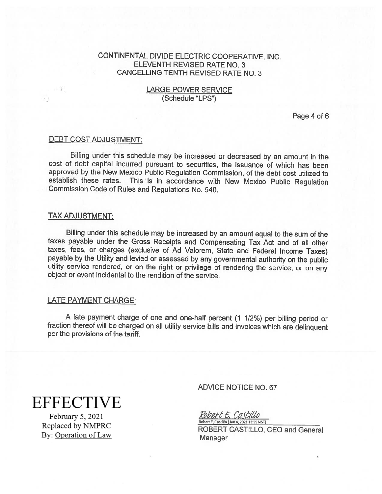## LARGE POWER SERVICE (Schedule "LPS")

Page 4 of 6

#### DEBT COST ADJUSTMENT:

Billing under this schedule may be increased or decreased by an amount in the cost of debt capital incurred pursuant to securities, the issuance of which has been approved by the New Mexico Public Regulation Commission, of the debt cost utilized to establish these rates. This is in accordance with New Mexico Public Regulation Commission Code of Rules and Regulations No. 540.

#### TAX ADJUSTMENT:

Billing under this schedule may be increased by an amount equa<sup>l</sup> to the sum of the taxes payable under the Gross Receipts and Compensating Tax Act and of all other taxes, fees, or charges (exclusive of Ad Valorem, State and Federal Income Taxes) payable by the Utility and levied or assessed by any governmental authority on the public utility service rendered, or on the right or privilege of rendering the service, or on any object or event incidental to the rendition of the service.

#### LATE PAYMENT CHARGE:

<sup>A</sup> late payment charge of one and one-half percent (1 1/2%) per billing period or fraction thereof will be charged on all utility service bills and invoices which are delinquent per the provisions of the tariff.

**EFFECTIVE** 

February 5, 2021 Replaced by NMPRC By: Operation of Law

## ADVICE NOTICE NO. 67

Robert E. Castillo Robert E, Castillo (Jan 4, 2021 13:55 MST)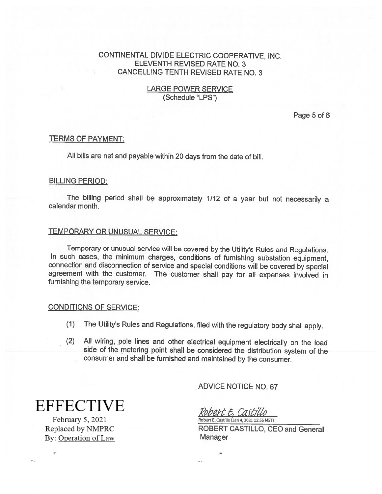## LARGE POWER SERVICE (Schedule 'LPS")

Page 5 of 6

## TERMS OF PAYMENT:

All bills are net and payable within <sup>20</sup> days from the date of bill.

## BILLING PERIOD:

The billing period shall be approximately 1/12 of <sup>a</sup> year but not necessarily <sup>a</sup> calendar month.

# TEMPORARY OR UNUSUAL SERVICE:

Temporary or unusual service will be covered by the Utility's Rules and Regulations. In such cases, the minimum charges, conditions of furnishing substation equipment, connection and disconnection of service and special conditions will be covered by special agreement with the customer. The customer shall pay for all expenses involved in furnishing the temporary service.

# CONDITIONS OF SERVICE:

- (1) The Utility's Rules and Regulations, filed with the regulatory body shall apply.
- (2) All wiring, pole lines and other electrical equipment electrically on the load side of the metering point shall be considered the distribution system of the consumer and shall be furnished and maintained by the consumer.

**EFFECTIVE** 

February 5, 2021 Replaced by NMPRC By: Operation of Law

7

ADVICE NOTICE NO.67

Robert E. Castillo Robert E, Castillo (Jan 4,2021 13:55 MSI)